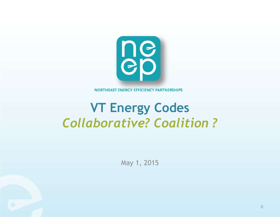

NORTHEAST ENERGY EFFICIENCY PARTNERSHIPS

### **VT Energy Codes**  *Collaborative? Coalition ?*

May 1, 2015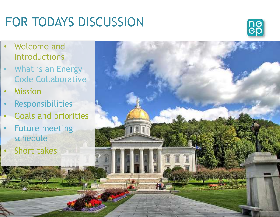# FOR TODAYS DISCUSSION

THT



Photo: HMFH

1

- Welcome and Introductions
- What is an Energy Code Collaborative
- **Mission**
- **Responsibilities**
- Goals and priorities
- **Future meeting** schedule
- Short takes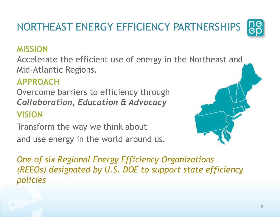NORTHEAST ENERGY EFFICIENCY PARTNERSHIPS

### **MISSION**

Accelerate the efficient use of energy in the Northeast and Mid-Atlantic Regions.

### **APPROACH**

Overcome barriers to efficiency through *Collaboration, Education & Advocacy* **VISION**

Transform the way we think about and use energy in the world around us.

*One of six Regional Energy Efficiency Organizations (REEOs) designated by U.S. DOE to support state efficiency policies*



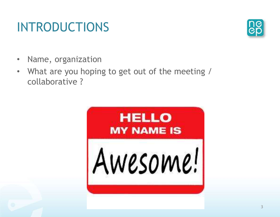# INTRODUCTIONS

- Name, organization
- What are you hoping to get out of the meeting / collaborative ?



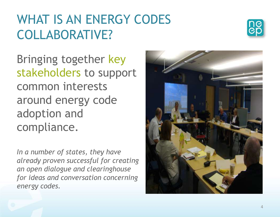### WHAT IS AN ENERGY CODES COLLABORATIVE?



Bringing together key stakeholders to support common interests around energy code adoption and compliance.

*In a number of states, they have already proven successful for creating an open dialogue and clearinghouse for ideas and conversation concerning energy codes.* 

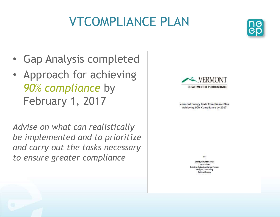# VTCOMPLIANCE PLAN



- Gap Analysis completed
- Approach for achieving *90% compliance* by February 1, 2017

*Advise on what can realistically be implemented and to prioritize and carry out the tasks necessary to ensure greater compliance* 



by

**Energy Futures Group** Cx Associates alding Codes Assistance Project Navigant Consulting Optimal Energy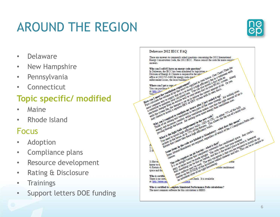# AROUND THE REGION



- Delaware
- **New Hampshire**
- Pennsylvania
- **Connecticut**

### **Topic specific/ modified**

- Maine
- Rhode Island

### Focus

- **Adoption**
- Compliance plans
- Resource development
- Rating & Disclosure
- **Trainings**
- Support letters DOE funding



Who is certified to complete Simulated Performance Path calculations? The most common software for this calculation is HERS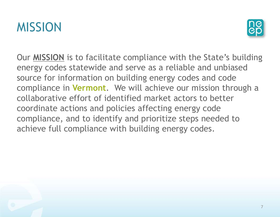



Our **MISSION** is to facilitate compliance with the State's building energy codes statewide and serve as a reliable and unbiased source for information on building energy codes and code compliance in **Vermont**. We will achieve our mission through a collaborative effort of identified market actors to better coordinate actions and policies affecting energy code compliance, and to identify and prioritize steps needed to achieve full compliance with building energy codes.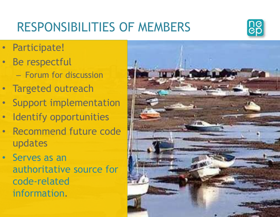# RESPONSIBILITIES OF MEMBERS



- Participate!
- Be respectful
	- Forum for discussion
- Targeted outreach
- Support implementation
- Identify opportunities
- Recommend future code updates
- Serves as an authoritative source for code‐related information.

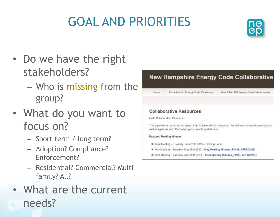# GOAL AND PRIORITIES



- Do we have the right stakeholders?
	- Who is missing from the group?
- What do you want to focus on?
	- Short term / long term?
	- Adoption? Compliance? Enforcement?
	- Residential? Commercial? Multifamily? All?
- What are the current needs?

### **New Hampshire Energy Code Collaborative**

Home About the NH Energy Code Challenge About The NH Energy Code Collaborative

#### **Collaborative Resources**

Hello Collaborative Members

This page will act as a hub for many of the Collaborative's resources. We will have all meeting minutes as well as agendas and other meeting documents posted here.

#### **Featured Meeting Minutes:**

- X June Meeting Tuesday, June 25th 2013 Coming Soon!
- X May Meeting Tuesday, May 28th 2013 May Meeting Minutes\_FINAL APPROVED
- 其 April Meeting Tuesday, April 30th 2013 April Meeting Minutes\_FINAL APPROVED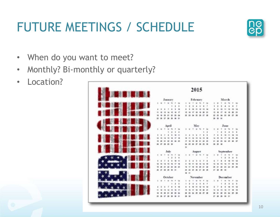# FUTURE MEETINGS / SCHEDULE



- When do you want to meet?
- Monthly? Bi-monthly or quarterly?
- Location?

| <b>EN DIE NATIONAL</b> | 2015 |          |         |          |               |       |                      |              |         |  |                  |             |              |                          |    |               |           |                          |             |           |         |
|------------------------|------|----------|---------|----------|---------------|-------|----------------------|--------------|---------|--|------------------|-------------|--------------|--------------------------|----|---------------|-----------|--------------------------|-------------|-----------|---------|
|                        |      |          | January |          |               |       |                      |              |         |  | February         |             |              |                          |    |               |           | March                    |             |           |         |
|                        |      | $5.$ M   |         | 7 8 31   |               |       | City                 |              |         |  | $\mathbf{w}$     | <b>SOLU</b> |              | $\mathbb{R}^2$           |    |               |           | <b>HE</b>                | 78          | ٠         | $^{26}$ |
|                        |      |          |         |          |               | ž     | $\overline{a}$       |              |         |  |                  |             |              | 7                        |    |               |           |                          |             |           | ÷       |
|                        |      |          |         | アール      |               | ÷     | $+10$                |              |         |  |                  | 12          | 13 14        |                          |    |               |           |                          | $-12$       | <b>Y3</b> | $-14$   |
|                        |      |          |         |          |               |       | 47                   |              |         |  |                  |             | $\mathbf{H}$ | 21                       |    |               |           |                          |             |           | 25      |
|                        |      |          |         |          |               |       | 34                   |              | 源 挡     |  | <b>N E N T N</b> |             |              |                          |    |               |           | 25                       | 26          | $37 - 26$ |         |
|                        | 挺    |          |         |          |               |       | $-3t$                |              |         |  |                  |             |              |                          |    | 28 30         | - 20      |                          |             |           |         |
|                        |      |          |         |          |               |       |                      |              |         |  |                  |             |              |                          |    |               |           |                          |             |           |         |
|                        |      |          |         | April    |               |       |                      |              |         |  | May              |             |              |                          |    |               |           | June                     |             |           |         |
|                        |      |          | 1.9.7.9 |          |               |       | <b>Ga</b>            |              |         |  | $-40$            |             |              | $\rightarrow$            | ÷  |               |           |                          |             |           | Zip     |
|                        |      |          |         |          |               | в     | $\ddot{\phantom{1}}$ |              |         |  |                  |             |              | ٠                        |    |               |           |                          |             |           |         |
|                        | s    |          |         |          |               |       | 18 11                |              |         |  |                  |             |              | - 3                      |    |               |           |                          |             |           |         |
|                        |      |          |         |          |               |       | 18                   |              |         |  |                  |             |              | u                        |    |               |           |                          |             |           |         |
|                        |      |          |         |          |               | 34 35 |                      |              |         |  |                  |             |              | $\blacksquare$           |    |               |           |                          | 24 25 36 27 |           |         |
|                        | 36   |          | 38      | 23 30    |               |       |                      | м            |         |  | $\pi$            | 排污室         |              |                          | 28 |               | 29 54     |                          |             |           |         |
|                        |      |          |         |          |               |       |                      | $\mathbb{R}$ |         |  |                  |             |              |                          |    |               |           |                          |             |           |         |
|                        |      |          |         | July     |               |       |                      |              |         |  | August           |             |              |                          |    |               | September |                          |             |           |         |
|                        |      | $3 - 10$ |         |          |               |       | <b>Sat</b>           | 3            | ×       |  | $x - m$          |             | ×            | 34                       | s  |               |           |                          |             |           | Sa      |
|                        |      |          |         |          |               |       | $\overline{a}$       |              |         |  |                  |             |              |                          |    |               |           |                          |             |           |         |
|                        |      |          |         |          |               |       | 75                   |              |         |  |                  |             | 2.1          |                          |    |               |           |                          |             |           | 12      |
|                        |      |          |         |          |               |       | 18                   |              |         |  |                  |             |              | <b>TI</b>                |    |               |           |                          |             |           | n       |
|                        |      |          |         |          |               |       | 34 25                |              |         |  |                  |             |              | 一副                       |    |               |           |                          | 34 25       |           | 26      |
|                        | ж    |          |         |          |               |       |                      |              | $m - m$ |  |                  |             | 28 29        |                          | 57 |               |           | $\overline{\phantom{a}}$ |             |           |         |
|                        |      |          |         |          |               |       |                      |              |         |  |                  |             |              |                          |    |               |           |                          |             |           |         |
|                        |      |          | October |          |               |       |                      |              |         |  | November         |             |              |                          |    |               | December  |                          |             |           |         |
|                        |      | $1 - M$  | 14      | <b>W</b> | $\rightarrow$ | ٠     | 58                   | u.           |         |  | ×                |             |              | $\overline{\phantom{a}}$ | 5  |               |           | $\frac{1}{2}$            |             | $\;$      | 58      |
|                        |      |          |         |          |               | r     | $\rightarrow$        |              |         |  | x                | 3           | ٠            | ा                        |    |               |           |                          |             |           | з       |
|                        | ٠    |          |         |          |               | s     | $\mathbf{u}$         |              |         |  |                  |             | 13           | 14                       |    |               |           |                          |             |           | 12      |
|                        |      |          |         |          |               |       | <b>If</b>            |              |         |  |                  |             | $\mathbf{H}$ | 29                       |    |               |           |                          |             |           | 19      |
|                        | 错    |          |         |          |               | n     | 34                   | и.           | 22      |  | <b>MENER</b>     |             |              |                          | 38 |               |           |                          | 34          | 25 26     |         |
|                        |      | 25 26    |         |          |               |       | 38 31                |              | 29 30   |  |                  |             |              |                          | 1T | $\rightarrow$ | 39        | 38 31                    |             |           |         |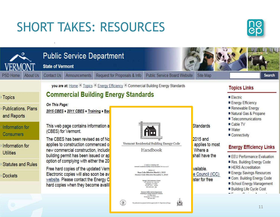# SHORT TAKES: RESOURCES

 $\sim$ 



|                                                                                                                                                                                  |                 | <b>State of Vermont</b> | <b>Public Service Department</b>                                                                                                                                                                                                                                                                                                                                                                                                                                                                                                                                                                                        |                              |                                                                                                                                                                                                                                                                                                                                                                                                                                                                                   |                                     |                                                                                                                         |                                                                                                                                                                                                 |                                                                                                                                                                                                                                            |               |
|----------------------------------------------------------------------------------------------------------------------------------------------------------------------------------|-----------------|-------------------------|-------------------------------------------------------------------------------------------------------------------------------------------------------------------------------------------------------------------------------------------------------------------------------------------------------------------------------------------------------------------------------------------------------------------------------------------------------------------------------------------------------------------------------------------------------------------------------------------------------------------------|------------------------------|-----------------------------------------------------------------------------------------------------------------------------------------------------------------------------------------------------------------------------------------------------------------------------------------------------------------------------------------------------------------------------------------------------------------------------------------------------------------------------------|-------------------------------------|-------------------------------------------------------------------------------------------------------------------------|-------------------------------------------------------------------------------------------------------------------------------------------------------------------------------------------------|--------------------------------------------------------------------------------------------------------------------------------------------------------------------------------------------------------------------------------------------|---------------|
| <b>PSD Home</b>                                                                                                                                                                  | <b>About Us</b> | Contact Us              | <b>Announcements</b>                                                                                                                                                                                                                                                                                                                                                                                                                                                                                                                                                                                                    | Request for Proposals & Info |                                                                                                                                                                                                                                                                                                                                                                                                                                                                                   | <b>Public Service Board Website</b> | Site Map                                                                                                                |                                                                                                                                                                                                 |                                                                                                                                                                                                                                            | <b>Search</b> |
| Topics<br><b>Publications, Plans</b><br>and Reports<br>Information for<br><b>Consumers</b><br>Information for<br><b>Utilities</b><br><b>Statutes and Rules</b><br><b>Dockets</b> |                 | On This Page:           | you are at: Home + Topics + Energy Efficiency + Commercial Building Energy Standards<br><b>Commercial Building Energy Standards</b><br>2015 CBES + 2011 CBES + Training + Bad<br>This web page contains information a<br>(CBES) for Vermont.<br>The CBES has been revised as of No<br>applies to construction commenced o<br>new commercial construction, includir<br>building permit has been issued or ap<br>option of complying with either the 20<br>Free hard copies of the updated Vern<br>Electronic copies will also soon be av<br>website. Please contact the Energy C<br>hard copies when they become availit |                              | Vermont Residential Building Energy Code<br>Handbook<br>.<br>A Cutde to Complying with<br>tonts Residential Building Energy Standards (30 V.S.A. § 51)<br>Renton 4.0<br>Base Code Effective March 1, 2015<br>Stretch Code Effective December 1, 2015<br>Inergy Code Assistance Center<br>128 Lakeside Ave., Suite 401<br>Burlington, VT 05401<br>855-887-0673 - toll free<br>$802-658-1643 = \text{fax}$<br>Vermont Public Service Department<br>ning & Energy Resources Division |                                     | Standards<br>2015 and<br>applies to most<br>Where a<br>shall have the<br>vailable.<br>e Council (ICC)<br>ister for free | <b>Topics Links</b><br>$\blacksquare$ Electric<br>■ Energy Efficiency<br>Renewable Energy<br>■ Telecommunications<br>$\blacksquare$ Cable TV<br>■ Water<br>Connectivity<br>■ HERS Accreditation | Natural Gas & Propane<br><b>Energy Efficiency Links</b><br><b>EEU</b> Performance Evaluation<br>Res. Building Energy Code<br>Energy Savings Resources<br>Com. Building Energy Code<br>School Energy Management<br>Building Life Cycle Cost |               |
|                                                                                                                                                                                  |                 |                         |                                                                                                                                                                                                                                                                                                                                                                                                                                                                                                                                                                                                                         |                              | 112 State Street<br>mtpelter, VT 05620-2601<br>802-828-2811<br>was prepared with the support of the U.S. Department of Energy                                                                                                                                                                                                                                                                                                                                                     | A                                   |                                                                                                                         |                                                                                                                                                                                                 | 11                                                                                                                                                                                                                                         |               |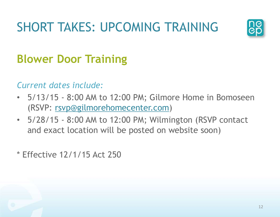# SHORT TAKES: UPCOMING TRAINING



### **Blower Door Training**

*Current dates include:*

- 5/13/15 8:00 AM to 12:00 PM; Gilmore Home in Bomoseen (RSVP: [rsvp@gilmorehomecenter.com\)](mailto:rsvp@gilmorehomecenter.com)
- 5/28/15 8:00 AM to 12:00 PM; Wilmington (RSVP contact and exact location will be posted on website soon)

\* Effective 12/1/15 Act 250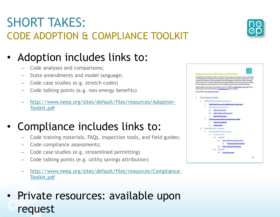### SHORT TAKES: CODE ADOPTION & COMPLIANCE TOOLKIT

### • Adoption includes links to:

- Code analyses and comparisons;
- State amendments and model language;
- Code case studies (e.g. stretch codes)
- Code talking points (e.g. non-energy benefits)
- [http://www.neep.org/sites/default/files/resources/Adoption-](http://www.neep.org/sites/default/files/resources/Adoption-Toolkit.pdf)Toolkit.pdf

### • Compliance includes links to:

- Code training materials, FAQs, inspection tools, and field guides;
- Code compliance assessments;
- Code case studies (e.g. streamlined permitting)
- Code talking points (e.g. utility savings attribution)
- [http://www.neep.org/sites/default/files/resources/Compliance-](http://www.neep.org/sites/default/files/resources/Compliance-Toolkit.pdf)Toolkit.pdf

• Private resources: available upon request



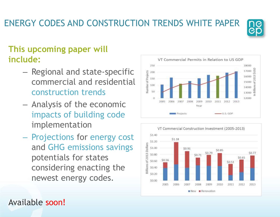### Available soon!

### ENERGY CODES AND CONSTRUCTION TRENDS WHITE PAPER

### **This upcoming paper will include:**

- Regional and state-specific commercial and residential construction trends
- Analysis of the economic impacts of building code implementation
- Projections for energy cost and GHG emissions savings potentials for states considering enacting the newest energy codes.